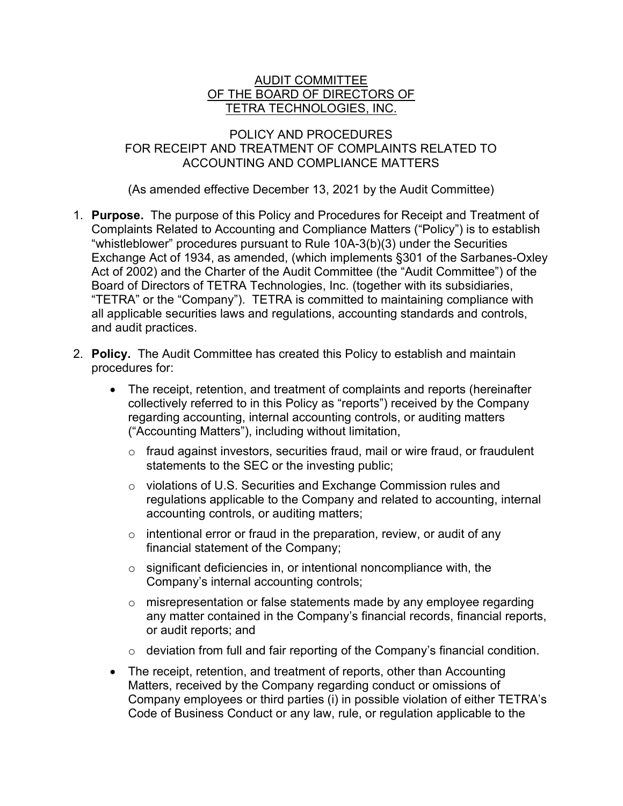# AUDIT COMMITTEE OF THE BOARD OF DIRECTORS OF TETRA TECHNOLOGIES, INC.

## POLICY AND PROCEDURES FOR RECEIPT AND TREATMENT OF COMPLAINTS RELATED TO ACCOUNTING AND COMPLIANCE MATTERS

(As amended effective December 13, 2021 by the Audit Committee)

- 1. Purpose. The purpose of this Policy and Procedures for Receipt and Treatment of Complaints Related to Accounting and Compliance Matters ("Policy") is to establish "whistleblower" procedures pursuant to Rule 10A-3(b)(3) under the Securities Exchange Act of 1934, as amended, (which implements §301 of the Sarbanes-Oxley Act of 2002) and the Charter of the Audit Committee (the "Audit Committee") of the Board of Directors of TETRA Technologies, Inc. (together with its subsidiaries, "TETRA" or the "Company"). TETRA is committed to maintaining compliance with all applicable securities laws and regulations, accounting standards and controls, and audit practices.
- 2. Policy. The Audit Committee has created this Policy to establish and maintain procedures for:
	- The receipt, retention, and treatment of complaints and reports (hereinafter collectively referred to in this Policy as "reports") received by the Company regarding accounting, internal accounting controls, or auditing matters ("Accounting Matters"), including without limitation,
		- o fraud against investors, securities fraud, mail or wire fraud, or fraudulent statements to the SEC or the investing public;
		- o violations of U.S. Securities and Exchange Commission rules and regulations applicable to the Company and related to accounting, internal accounting controls, or auditing matters;
		- $\circ$  intentional error or fraud in the preparation, review, or audit of any financial statement of the Company;
		- $\circ$  significant deficiencies in, or intentional noncompliance with, the Company's internal accounting controls;
		- $\circ$  misrepresentation or false statements made by any employee regarding any matter contained in the Company's financial records, financial reports, or audit reports; and
		- $\circ$  deviation from full and fair reporting of the Company's financial condition.
	- The receipt, retention, and treatment of reports, other than Accounting Matters, received by the Company regarding conduct or omissions of Company employees or third parties (i) in possible violation of either TETRA's Code of Business Conduct or any law, rule, or regulation applicable to the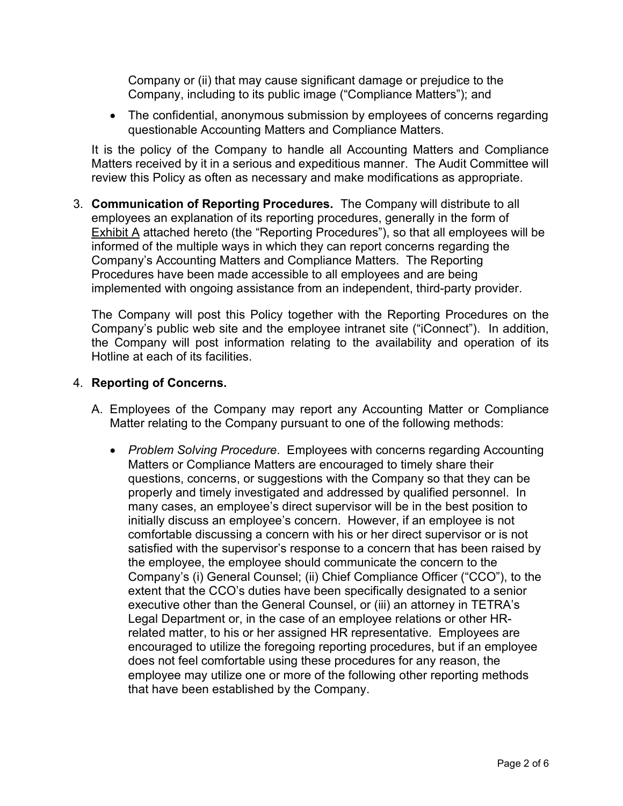Company or (ii) that may cause significant damage or prejudice to the Company, including to its public image ("Compliance Matters"); and

• The confidential, anonymous submission by employees of concerns regarding questionable Accounting Matters and Compliance Matters.

It is the policy of the Company to handle all Accounting Matters and Compliance Matters received by it in a serious and expeditious manner. The Audit Committee will review this Policy as often as necessary and make modifications as appropriate.

3. Communication of Reporting Procedures. The Company will distribute to all employees an explanation of its reporting procedures, generally in the form of Exhibit A attached hereto (the "Reporting Procedures"), so that all employees will be informed of the multiple ways in which they can report concerns regarding the Company's Accounting Matters and Compliance Matters. The Reporting Procedures have been made accessible to all employees and are being implemented with ongoing assistance from an independent, third-party provider.

The Company will post this Policy together with the Reporting Procedures on the Company's public web site and the employee intranet site ("iConnect"). In addition, the Company will post information relating to the availability and operation of its Hotline at each of its facilities.

### 4. Reporting of Concerns.

- A. Employees of the Company may report any Accounting Matter or Compliance Matter relating to the Company pursuant to one of the following methods:
	- Problem Solving Procedure. Employees with concerns regarding Accounting Matters or Compliance Matters are encouraged to timely share their questions, concerns, or suggestions with the Company so that they can be properly and timely investigated and addressed by qualified personnel. In many cases, an employee's direct supervisor will be in the best position to initially discuss an employee's concern. However, if an employee is not comfortable discussing a concern with his or her direct supervisor or is not satisfied with the supervisor's response to a concern that has been raised by the employee, the employee should communicate the concern to the Company's (i) General Counsel; (ii) Chief Compliance Officer ("CCO"), to the extent that the CCO's duties have been specifically designated to a senior executive other than the General Counsel, or (iii) an attorney in TETRA's Legal Department or, in the case of an employee relations or other HRrelated matter, to his or her assigned HR representative. Employees are encouraged to utilize the foregoing reporting procedures, but if an employee does not feel comfortable using these procedures for any reason, the employee may utilize one or more of the following other reporting methods that have been established by the Company.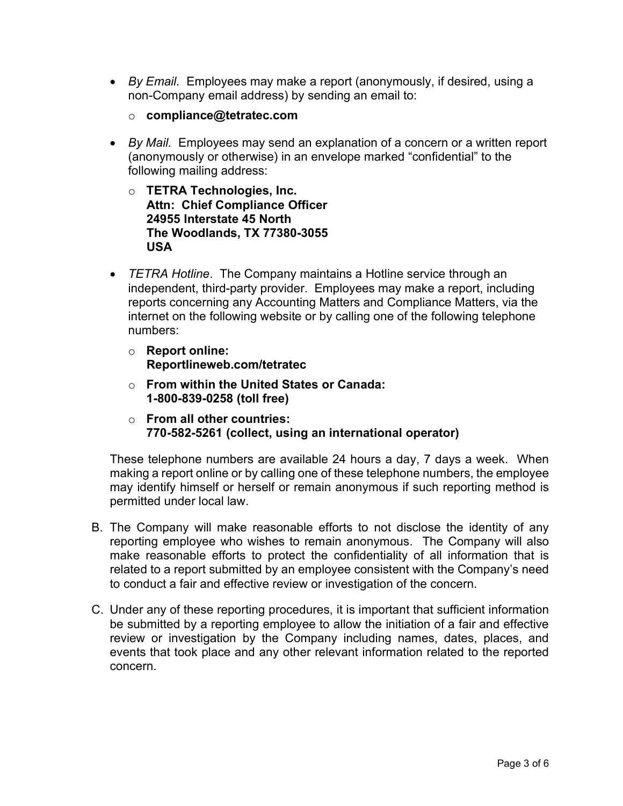- By Email. Employees may make a report (anonymously, if desired, using a non-Company email address) by sending an email to:
	- o compliance@tetratec.com
- By Mail. Employees may send an explanation of a concern or a written report (anonymously or otherwise) in an envelope marked "confidential" to the following mailing address:
	- o TETRA Technologies, Inc. Attn: Chief Compliance Officer 24955 Interstate 45 North The Woodlands, TX 77380-3055 USA
- TETRA Hotline. The Company maintains a Hotline service through an independent, third-party provider. Employees may make a report, including reports concerning any Accounting Matters and Compliance Matters, via the internet on the following website or by calling one of the following telephone numbers:
	- o Report online: Reportlineweb.com/tetratec
	- o From within the United States or Canada: 1-800-839-0258 (toll free)
	- o From all other countries: 770-582-5261 (collect, using an international operator)

These telephone numbers are available 24 hours a day, 7 days a week. When making a report online or by calling one of these telephone numbers, the employee may identify himself or herself or remain anonymous if such reporting method is permitted under local law.

- B. The Company will make reasonable efforts to not disclose the identity of any reporting employee who wishes to remain anonymous. The Company will also make reasonable efforts to protect the confidentiality of all information that is related to a report submitted by an employee consistent with the Company's need to conduct a fair and effective review or investigation of the concern.
- C. Under any of these reporting procedures, it is important that sufficient information be submitted by a reporting employee to allow the initiation of a fair and effective review or investigation by the Company including names, dates, places, and events that took place and any other relevant information related to the reported concern.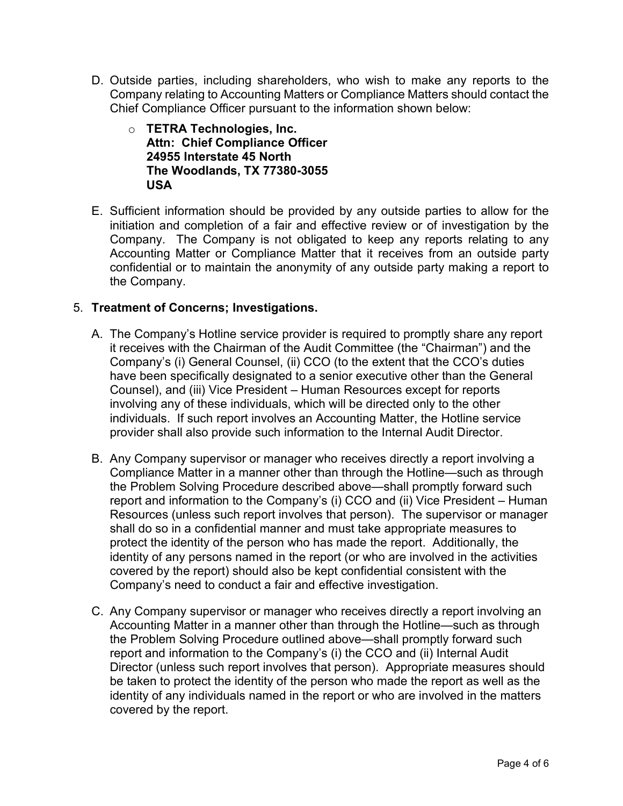- D. Outside parties, including shareholders, who wish to make any reports to the Company relating to Accounting Matters or Compliance Matters should contact the Chief Compliance Officer pursuant to the information shown below:
	- o TETRA Technologies, Inc. Attn: Chief Compliance Officer 24955 Interstate 45 North The Woodlands, TX 77380-3055 USA
- E. Sufficient information should be provided by any outside parties to allow for the initiation and completion of a fair and effective review or of investigation by the Company. The Company is not obligated to keep any reports relating to any Accounting Matter or Compliance Matter that it receives from an outside party confidential or to maintain the anonymity of any outside party making a report to the Company.

# 5. Treatment of Concerns; Investigations.

- A. The Company's Hotline service provider is required to promptly share any report it receives with the Chairman of the Audit Committee (the "Chairman") and the Company's (i) General Counsel, (ii) CCO (to the extent that the CCO's duties have been specifically designated to a senior executive other than the General Counsel), and (iii) Vice President – Human Resources except for reports involving any of these individuals, which will be directed only to the other individuals. If such report involves an Accounting Matter, the Hotline service provider shall also provide such information to the Internal Audit Director.
- B. Any Company supervisor or manager who receives directly a report involving a Compliance Matter in a manner other than through the Hotline—such as through the Problem Solving Procedure described above—shall promptly forward such report and information to the Company's (i) CCO and (ii) Vice President – Human Resources (unless such report involves that person). The supervisor or manager shall do so in a confidential manner and must take appropriate measures to protect the identity of the person who has made the report. Additionally, the identity of any persons named in the report (or who are involved in the activities covered by the report) should also be kept confidential consistent with the Company's need to conduct a fair and effective investigation.
- C. Any Company supervisor or manager who receives directly a report involving an Accounting Matter in a manner other than through the Hotline—such as through the Problem Solving Procedure outlined above—shall promptly forward such report and information to the Company's (i) the CCO and (ii) Internal Audit Director (unless such report involves that person). Appropriate measures should be taken to protect the identity of the person who made the report as well as the identity of any individuals named in the report or who are involved in the matters covered by the report.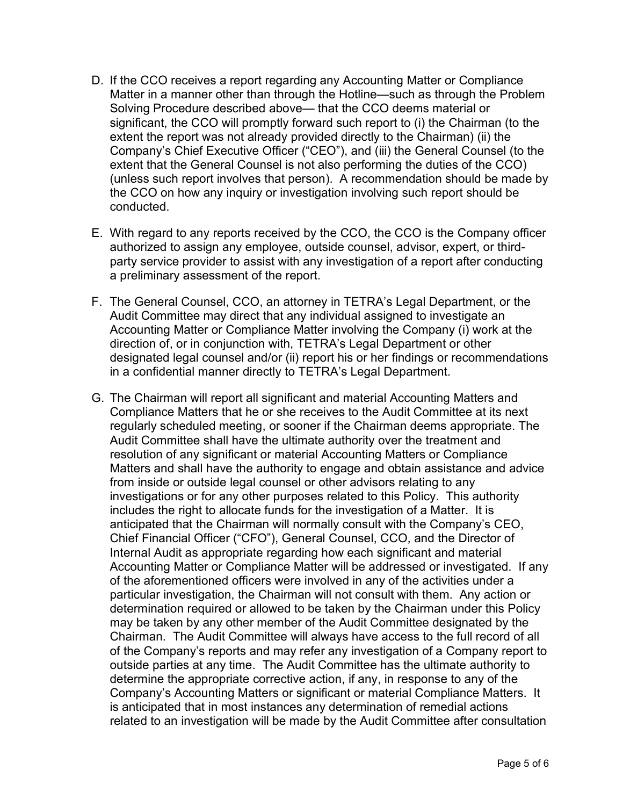- D. If the CCO receives a report regarding any Accounting Matter or Compliance Matter in a manner other than through the Hotline—such as through the Problem Solving Procedure described above— that the CCO deems material or significant, the CCO will promptly forward such report to (i) the Chairman (to the extent the report was not already provided directly to the Chairman) (ii) the Company's Chief Executive Officer ("CEO"), and (iii) the General Counsel (to the extent that the General Counsel is not also performing the duties of the CCO) (unless such report involves that person). A recommendation should be made by the CCO on how any inquiry or investigation involving such report should be conducted.
- E. With regard to any reports received by the CCO, the CCO is the Company officer authorized to assign any employee, outside counsel, advisor, expert, or thirdparty service provider to assist with any investigation of a report after conducting a preliminary assessment of the report.
- F. The General Counsel, CCO, an attorney in TETRA's Legal Department, or the Audit Committee may direct that any individual assigned to investigate an Accounting Matter or Compliance Matter involving the Company (i) work at the direction of, or in conjunction with, TETRA's Legal Department or other designated legal counsel and/or (ii) report his or her findings or recommendations in a confidential manner directly to TETRA's Legal Department.
- G. The Chairman will report all significant and material Accounting Matters and Compliance Matters that he or she receives to the Audit Committee at its next regularly scheduled meeting, or sooner if the Chairman deems appropriate. The Audit Committee shall have the ultimate authority over the treatment and resolution of any significant or material Accounting Matters or Compliance Matters and shall have the authority to engage and obtain assistance and advice from inside or outside legal counsel or other advisors relating to any investigations or for any other purposes related to this Policy. This authority includes the right to allocate funds for the investigation of a Matter. It is anticipated that the Chairman will normally consult with the Company's CEO, Chief Financial Officer ("CFO"), General Counsel, CCO, and the Director of Internal Audit as appropriate regarding how each significant and material Accounting Matter or Compliance Matter will be addressed or investigated. If any of the aforementioned officers were involved in any of the activities under a particular investigation, the Chairman will not consult with them. Any action or determination required or allowed to be taken by the Chairman under this Policy may be taken by any other member of the Audit Committee designated by the Chairman. The Audit Committee will always have access to the full record of all of the Company's reports and may refer any investigation of a Company report to outside parties at any time. The Audit Committee has the ultimate authority to determine the appropriate corrective action, if any, in response to any of the Company's Accounting Matters or significant or material Compliance Matters. It is anticipated that in most instances any determination of remedial actions related to an investigation will be made by the Audit Committee after consultation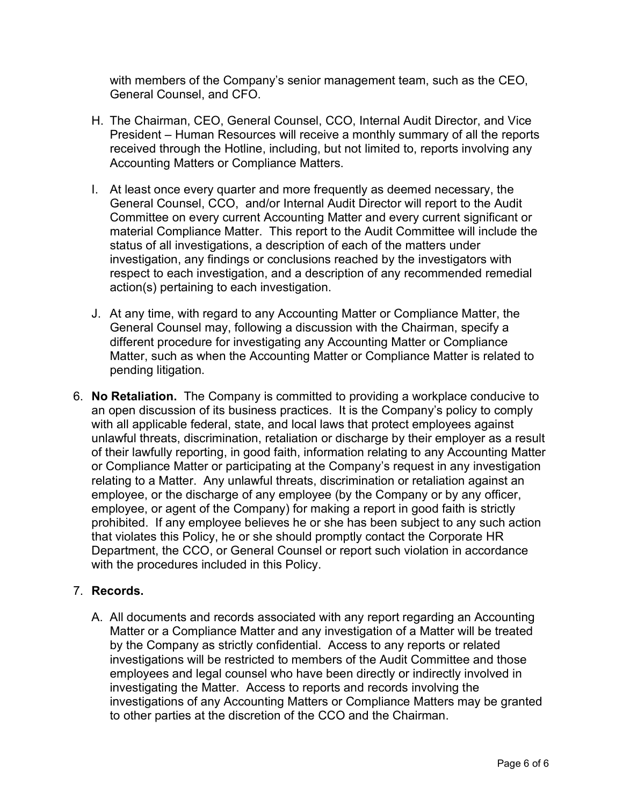with members of the Company's senior management team, such as the CEO, General Counsel, and CFO.

- H. The Chairman, CEO, General Counsel, CCO, Internal Audit Director, and Vice President – Human Resources will receive a monthly summary of all the reports received through the Hotline, including, but not limited to, reports involving any Accounting Matters or Compliance Matters.
- I. At least once every quarter and more frequently as deemed necessary, the General Counsel, CCO, and/or Internal Audit Director will report to the Audit Committee on every current Accounting Matter and every current significant or material Compliance Matter. This report to the Audit Committee will include the status of all investigations, a description of each of the matters under investigation, any findings or conclusions reached by the investigators with respect to each investigation, and a description of any recommended remedial action(s) pertaining to each investigation.
- J. At any time, with regard to any Accounting Matter or Compliance Matter, the General Counsel may, following a discussion with the Chairman, specify a different procedure for investigating any Accounting Matter or Compliance Matter, such as when the Accounting Matter or Compliance Matter is related to pending litigation.
- 6. No Retaliation. The Company is committed to providing a workplace conducive to an open discussion of its business practices. It is the Company's policy to comply with all applicable federal, state, and local laws that protect employees against unlawful threats, discrimination, retaliation or discharge by their employer as a result of their lawfully reporting, in good faith, information relating to any Accounting Matter or Compliance Matter or participating at the Company's request in any investigation relating to a Matter. Any unlawful threats, discrimination or retaliation against an employee, or the discharge of any employee (by the Company or by any officer, employee, or agent of the Company) for making a report in good faith is strictly prohibited. If any employee believes he or she has been subject to any such action that violates this Policy, he or she should promptly contact the Corporate HR Department, the CCO, or General Counsel or report such violation in accordance with the procedures included in this Policy.

# 7. Records.

A. All documents and records associated with any report regarding an Accounting Matter or a Compliance Matter and any investigation of a Matter will be treated by the Company as strictly confidential. Access to any reports or related investigations will be restricted to members of the Audit Committee and those employees and legal counsel who have been directly or indirectly involved in investigating the Matter. Access to reports and records involving the investigations of any Accounting Matters or Compliance Matters may be granted to other parties at the discretion of the CCO and the Chairman.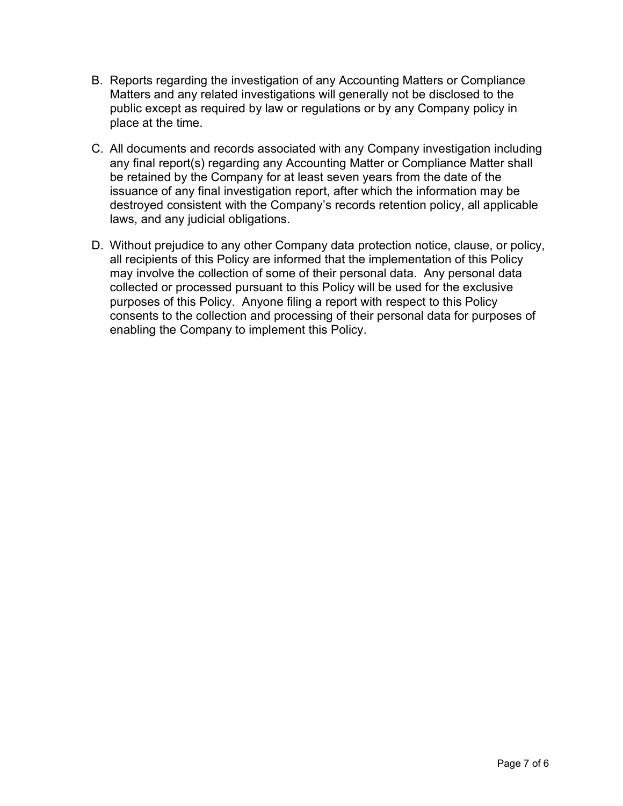- B. Reports regarding the investigation of any Accounting Matters or Compliance Matters and any related investigations will generally not be disclosed to the public except as required by law or regulations or by any Company policy in place at the time.
- C. All documents and records associated with any Company investigation including any final report(s) regarding any Accounting Matter or Compliance Matter shall be retained by the Company for at least seven years from the date of the issuance of any final investigation report, after which the information may be destroyed consistent with the Company's records retention policy, all applicable laws, and any judicial obligations.
- D. Without prejudice to any other Company data protection notice, clause, or policy, all recipients of this Policy are informed that the implementation of this Policy may involve the collection of some of their personal data. Any personal data collected or processed pursuant to this Policy will be used for the exclusive purposes of this Policy. Anyone filing a report with respect to this Policy consents to the collection and processing of their personal data for purposes of enabling the Company to implement this Policy.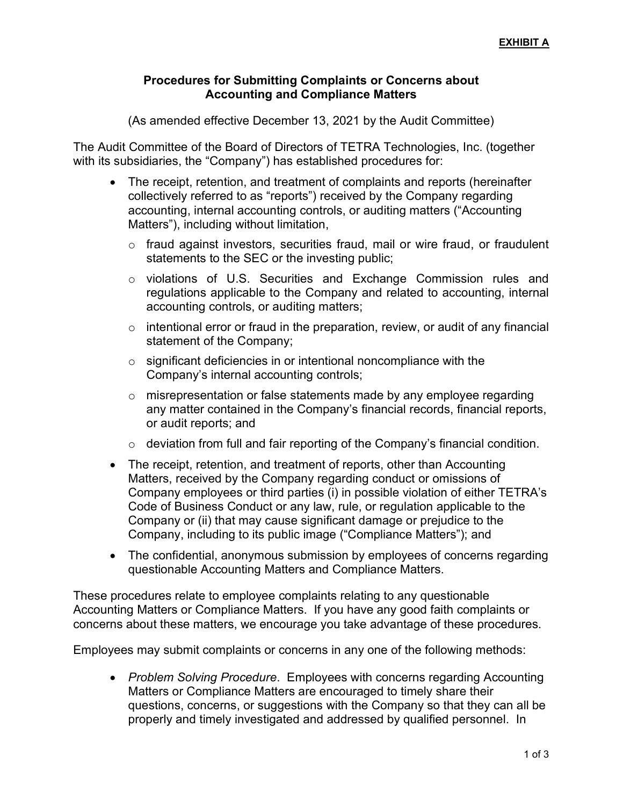## Procedures for Submitting Complaints or Concerns about Accounting and Compliance Matters

(As amended effective December 13, 2021 by the Audit Committee)

The Audit Committee of the Board of Directors of TETRA Technologies, Inc. (together with its subsidiaries, the "Company") has established procedures for:

- The receipt, retention, and treatment of complaints and reports (hereinafter collectively referred to as "reports") received by the Company regarding accounting, internal accounting controls, or auditing matters ("Accounting Matters"), including without limitation,
	- o fraud against investors, securities fraud, mail or wire fraud, or fraudulent statements to the SEC or the investing public;
	- o violations of U.S. Securities and Exchange Commission rules and regulations applicable to the Company and related to accounting, internal accounting controls, or auditing matters;
	- $\circ$  intentional error or fraud in the preparation, review, or audit of any financial statement of the Company;
	- $\circ$  significant deficiencies in or intentional noncompliance with the Company's internal accounting controls;
	- $\circ$  misrepresentation or false statements made by any employee regarding any matter contained in the Company's financial records, financial reports, or audit reports; and
	- $\circ$  deviation from full and fair reporting of the Company's financial condition.
- The receipt, retention, and treatment of reports, other than Accounting Matters, received by the Company regarding conduct or omissions of Company employees or third parties (i) in possible violation of either TETRA's Code of Business Conduct or any law, rule, or regulation applicable to the Company or (ii) that may cause significant damage or prejudice to the Company, including to its public image ("Compliance Matters"); and
- The confidential, anonymous submission by employees of concerns regarding questionable Accounting Matters and Compliance Matters.

These procedures relate to employee complaints relating to any questionable Accounting Matters or Compliance Matters. If you have any good faith complaints or concerns about these matters, we encourage you take advantage of these procedures.

Employees may submit complaints or concerns in any one of the following methods:

• Problem Solving Procedure. Employees with concerns regarding Accounting Matters or Compliance Matters are encouraged to timely share their questions, concerns, or suggestions with the Company so that they can all be properly and timely investigated and addressed by qualified personnel. In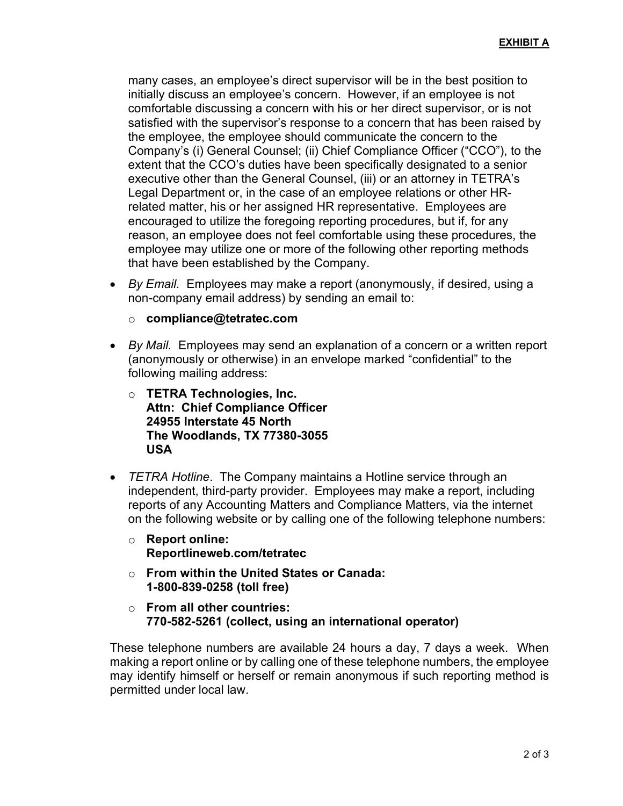many cases, an employee's direct supervisor will be in the best position to initially discuss an employee's concern. However, if an employee is not comfortable discussing a concern with his or her direct supervisor, or is not satisfied with the supervisor's response to a concern that has been raised by the employee, the employee should communicate the concern to the Company's (i) General Counsel; (ii) Chief Compliance Officer ("CCO"), to the extent that the CCO's duties have been specifically designated to a senior executive other than the General Counsel, (iii) or an attorney in TETRA's Legal Department or, in the case of an employee relations or other HRrelated matter, his or her assigned HR representative. Employees are encouraged to utilize the foregoing reporting procedures, but if, for any reason, an employee does not feel comfortable using these procedures, the employee may utilize one or more of the following other reporting methods that have been established by the Company.

- By Email. Employees may make a report (anonymously, if desired, using a non-company email address) by sending an email to:
	- o compliance@tetratec.com
- By Mail. Employees may send an explanation of a concern or a written report (anonymously or otherwise) in an envelope marked "confidential" to the following mailing address:
	- o TETRA Technologies, Inc. Attn: Chief Compliance Officer 24955 Interstate 45 North The Woodlands, TX 77380-3055 USA
- TETRA Hotline. The Company maintains a Hotline service through an independent, third-party provider. Employees may make a report, including reports of any Accounting Matters and Compliance Matters, via the internet on the following website or by calling one of the following telephone numbers:
	- o Report online: Reportlineweb.com/tetratec
	- o From within the United States or Canada: 1-800-839-0258 (toll free)
	- $\circ$  From all other countries: 770-582-5261 (collect, using an international operator)

These telephone numbers are available 24 hours a day, 7 days a week. When making a report online or by calling one of these telephone numbers, the employee may identify himself or herself or remain anonymous if such reporting method is permitted under local law.